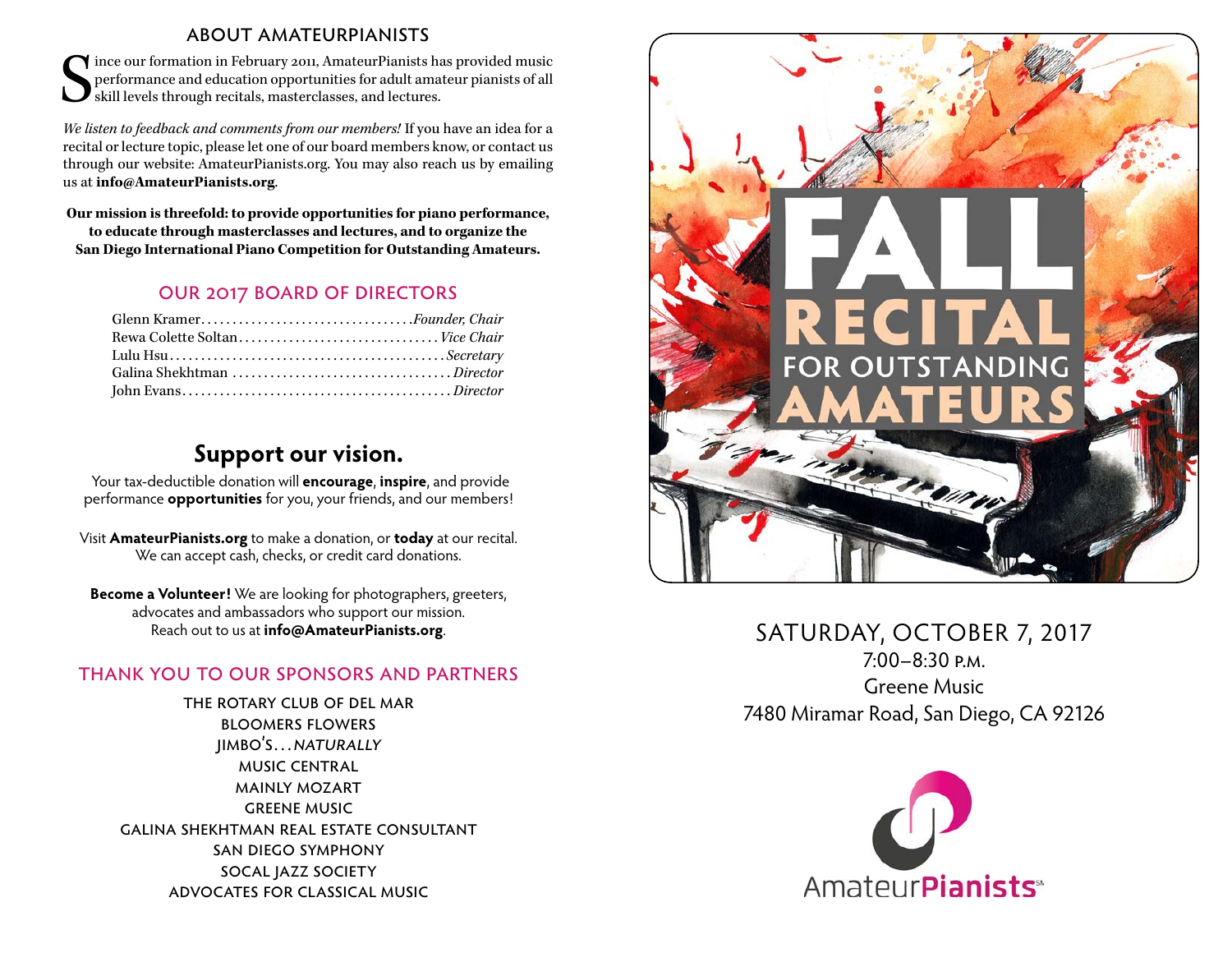#### about amateurpianists

S ince our formation in February 2011, AmateurPianists has provided music performance and education opportunities for adult amateur pianists of all skill levels through recitals, masterclasses, and lectures.

*We listen to feedback and comments from our members!* If you have an idea for a recital or lecture topic, please let one of our board members know, or contact us through our website: [AmateurPianists.org](http://AmateurPianists.org). You may also reach us by emailing us at **[info@AmateurPianists.org](mailto:info@AmateurPianists.org)**.

**Our mission is threefold: to provide opportunities for piano performance, to educate through masterclasses and lectures, and to organize the San Diego International Piano Competition for Outstanding Amateurs.**

#### our 2017 board of directors

| Glenn Kramer <i>.Founder, Chair</i> |  |
|-------------------------------------|--|
|                                     |  |
|                                     |  |
|                                     |  |
|                                     |  |

### **Support our vision.**

Your tax-deductible donation will **encourage**, **inspire**, and provide performance **opportunities** for you, your friends, and our members!

Visit **[AmateurPianists.org](http://AmateurPianists.org)** to make a donation, or **today** at our recital. We can accept cash, checks, or credit card donations.

**Become a Volunteer!** We are looking for photographers, greeters, advocates and ambassadors who support our mission. Reach out to us at **[info@AmateurPianists.org](mailto:info@AmateurPianists.org)**.

### thank you to our sponsors and partners

the rotary club of del mar bloomers flowers jimbo's…naturally music central mainly mozart greene music galina shekhtman real estate consultant san diego symphony socal jazz society advocates for classical music



### SATURDAY, OCTOBER 7, 2017 7:00–8:30 p.m. Greene Music 7480 Miramar Road, San Diego, CA 92126